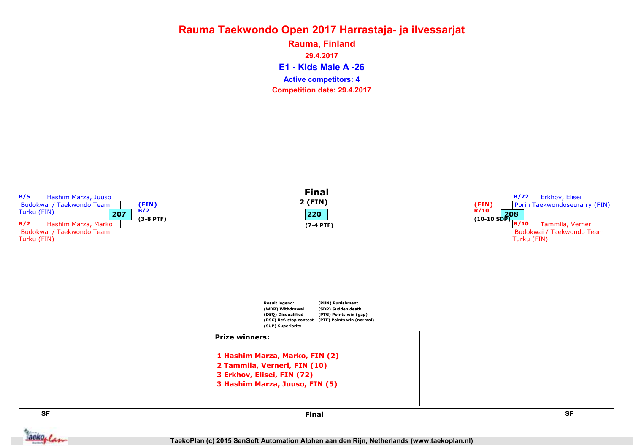E1 - Kids Male A -26 Rauma, Finland 29.4.2017 Competition date: 29.4.2017 Active competitors: 4



aekoplan

Final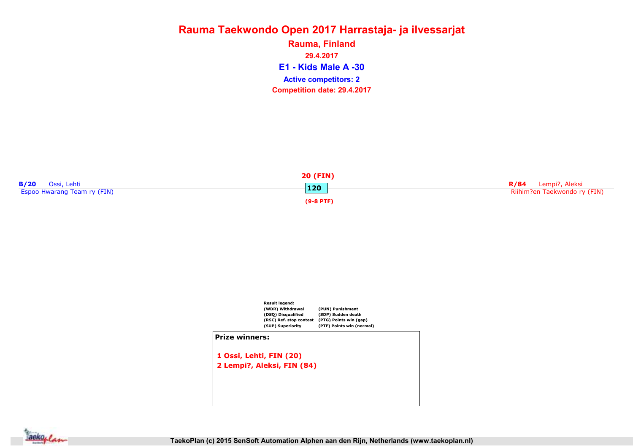E1 - Kids Male A -30 Rauma, Finland 29.4.2017 Competition date: 29.4.2017 Active competitors: 2





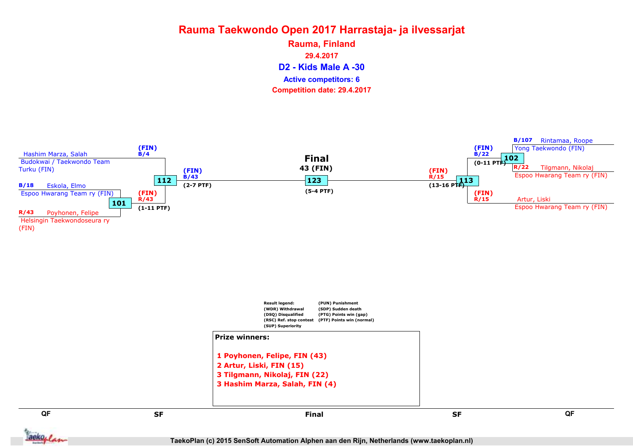D2 - Kids Male A -30 Rauma, Finland 29.4.2017 Competition date: 29.4.2017 Active competitors: 6

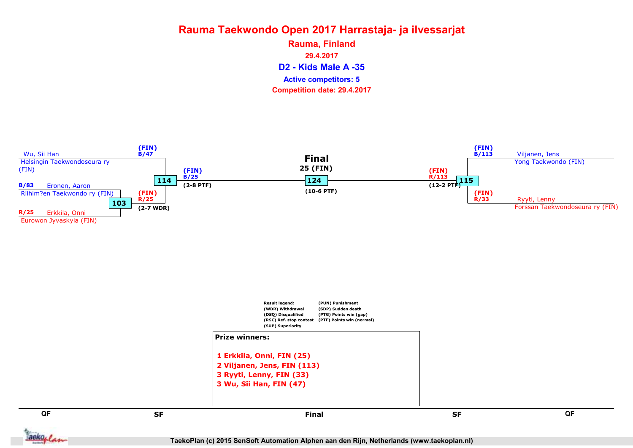D2 - Kids Male A -35 Rauma, Finland 29.4.2017 Competition date: 29.4.2017 Active competitors: 5



Jackoplan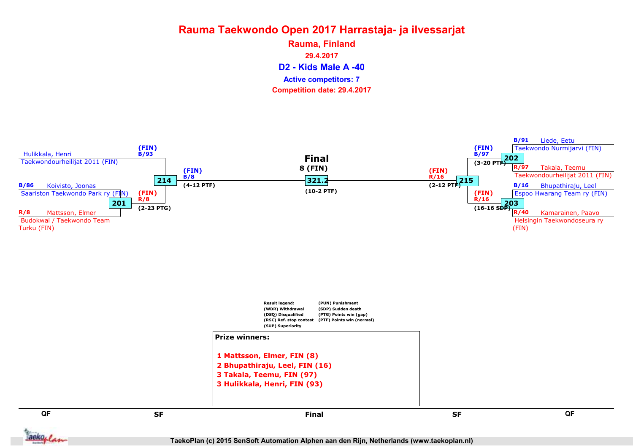D2 - Kids Male A -40 Rauma, Finland 29.4.2017 Competition date: 29.4.2017 Active competitors: 7

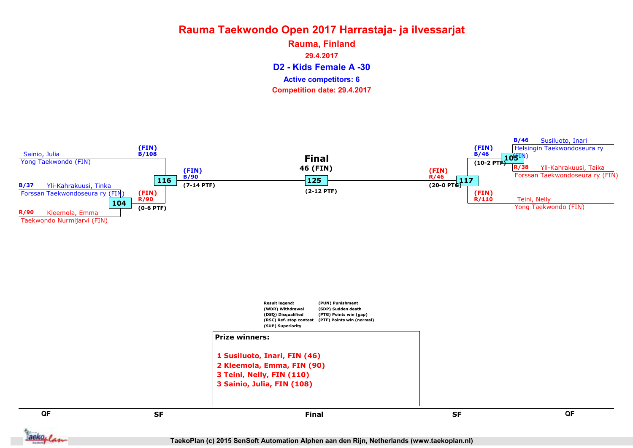D2 - Kids Female A -30 Rauma, Finland 29.4.2017 Competition date: 29.4.2017 Active competitors: 6

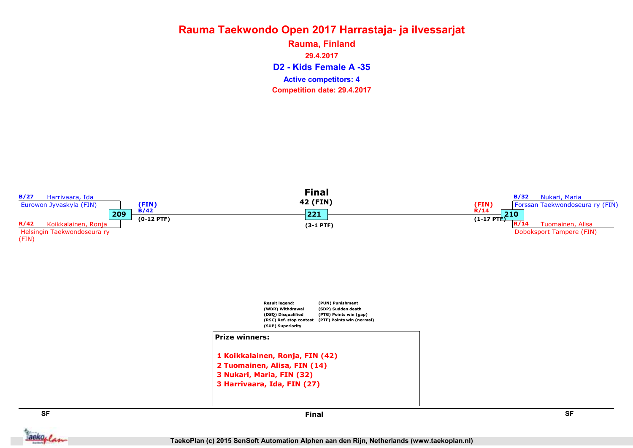D2 - Kids Female A -35 Rauma, Finland 29.4.2017 Competition date: 29.4.2017 Active competitors: 4



aekoplan

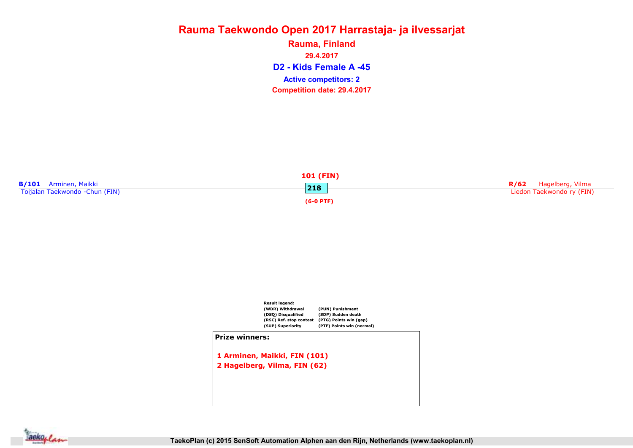D2 - Kids Female A -45 Rauma, Finland 29.4.2017 Competition date: 29.4.2017 Active competitors: 2





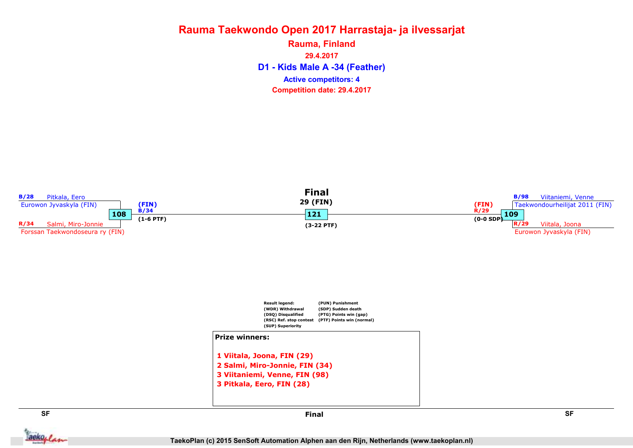D1 - Kids Male A -34 (Feather) Rauma, Finland 29.4.2017 Competition date: 29.4.2017 Active competitors: 4



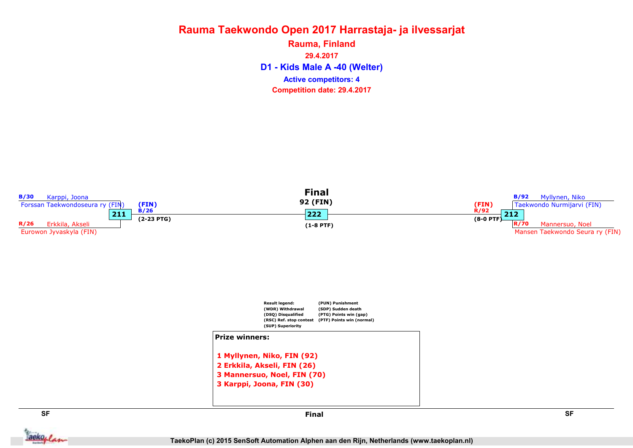D1 - Kids Male A -40 (Welter) Rauma, Finland 29.4.2017 Competition date: 29.4.2017 Active competitors: 4



aekoplan

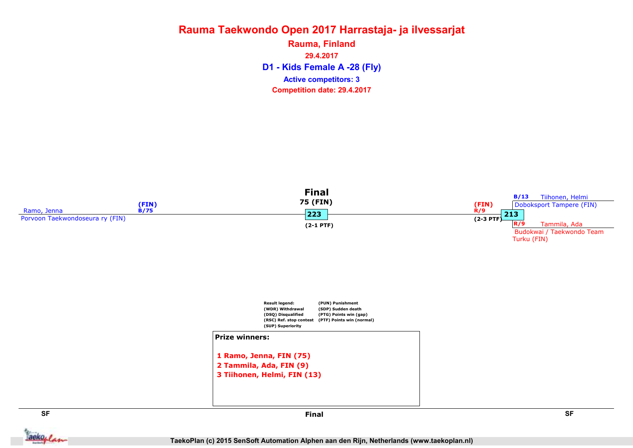D1 - Kids Female A -28 (Fly) Rauma, Finland 29.4.2017 Competition date: 29.4.2017 Active competitors: 3



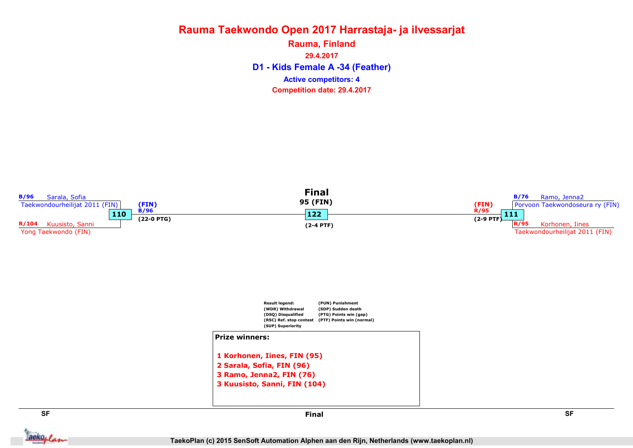D1 - Kids Female A -34 (Feather) Rauma, Finland 29.4.2017 Competition date: 29.4.2017 Active competitors: 4

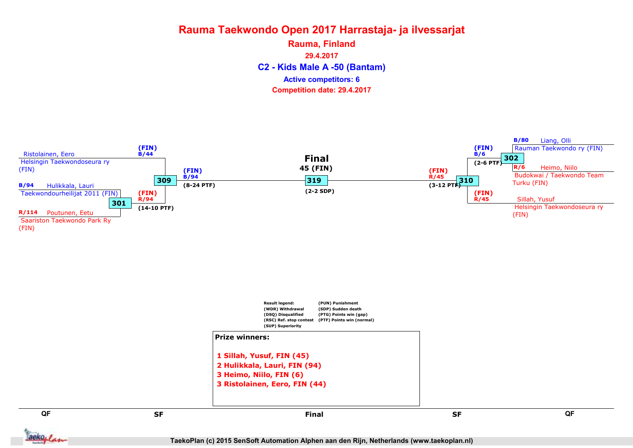C2 - Kids Male A -50 (Bantam) Rauma, Finland 29.4.2017 Competition date: 29.4.2017 Active competitors: 6

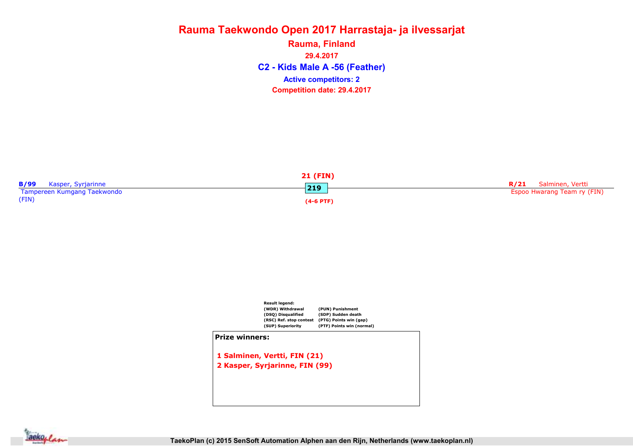C2 - Kids Male A -56 (Feather) Rauma, Finland 29.4.2017 Competition date: 29.4.2017 Active competitors: 2





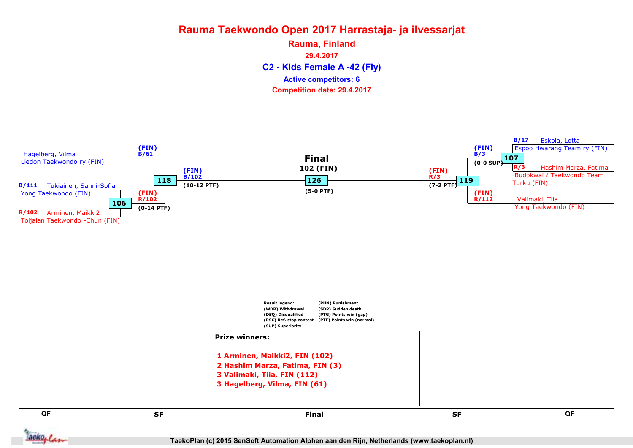C2 - Kids Female A -42 (Fly) Rauma, Finland 29.4.2017 Competition date: 29.4.2017 Active competitors: 6



TaekoPlan (c) 2015 SenSoft Automation Alphen aan den Rijn, Netherlands (www.taekoplan.nl)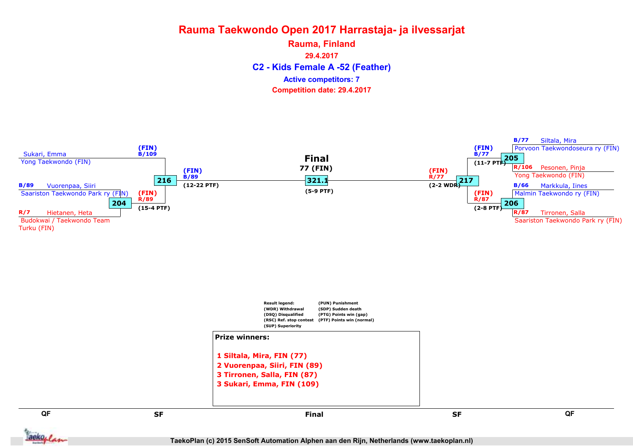C2 - Kids Female A -52 (Feather) Rauma, Finland 29.4.2017 Competition date: 29.4.2017 Active competitors: 7

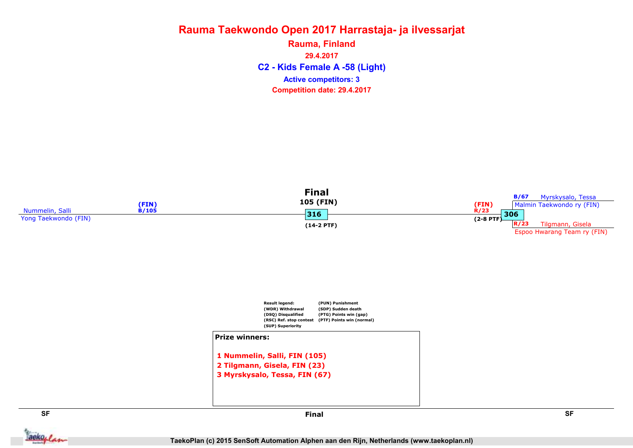C2 - Kids Female A -58 (Light) Rauma, Finland 29.4.2017 Competition date: 29.4.2017 Active competitors: 3

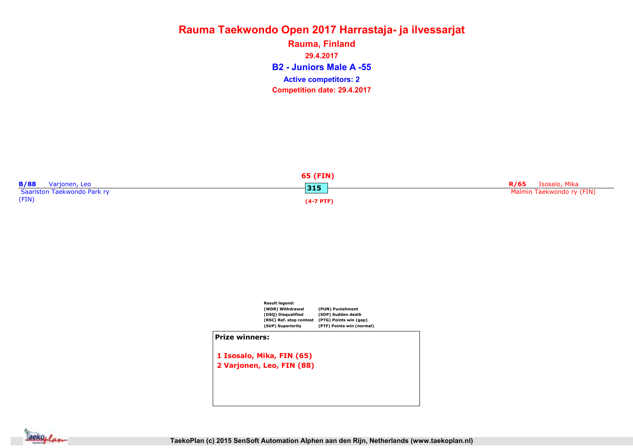B2 - Juniors Male A -55 Rauma, Finland 29.4.2017 Competition date: 29.4.2017 Active competitors: 2





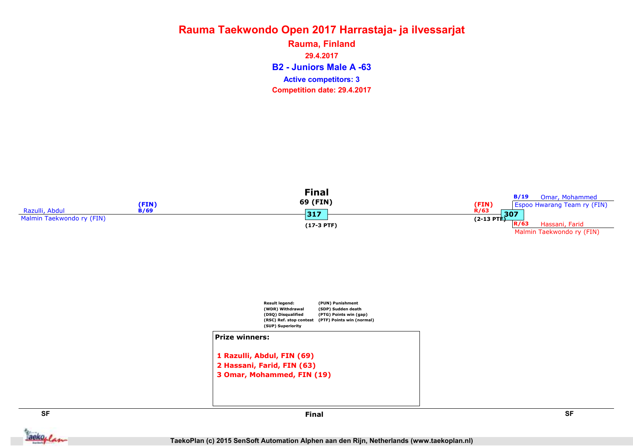B2 - Juniors Male A -63 Rauma, Finland 29.4.2017 Competition date: 29.4.2017 Active competitors: 3





**Jackoplan** 

SF SF Final

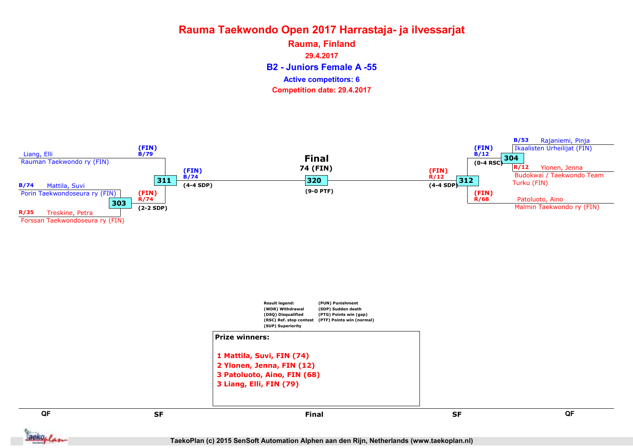B2 - Juniors Female A -55 Rauma, Finland 29.4.2017 Competition date: 29.4.2017 Active competitors: 6

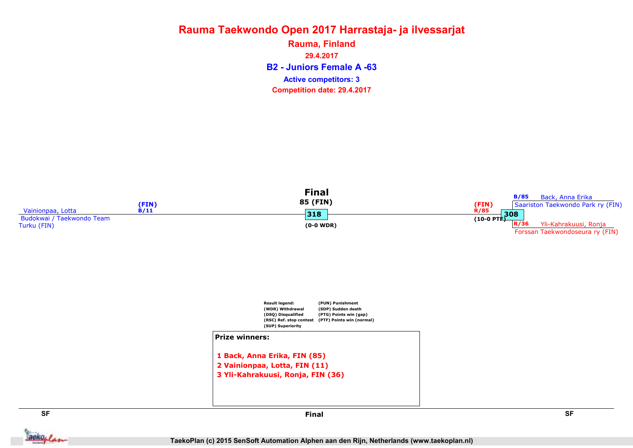B2 - Juniors Female A -63 Rauma, Finland 29.4.2017 Competition date: 29.4.2017 Active competitors: 3



**Jackoplan** 

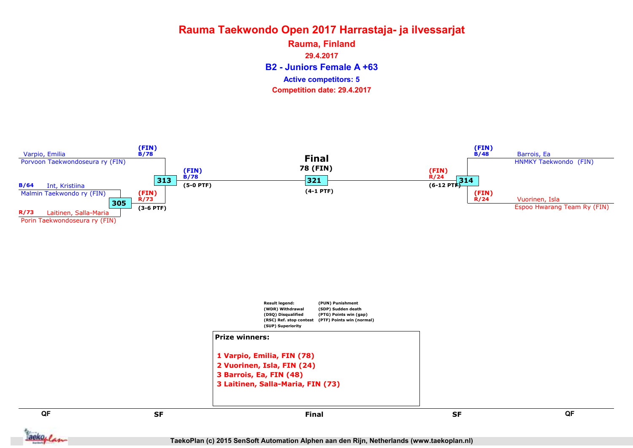B2 - Juniors Female A +63 Rauma, Finland 29.4.2017 Competition date: 29.4.2017 Active competitors: 5

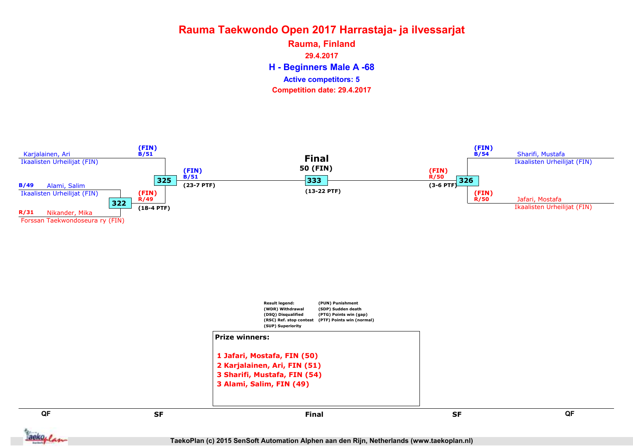H - Beginners Male A -68 Rauma, Finland 29.4.2017 Competition date: 29.4.2017 Active competitors: 5

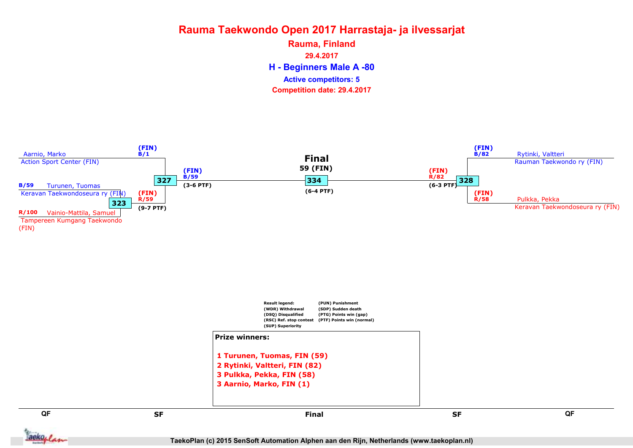H - Beginners Male A -80 Rauma, Finland 29.4.2017 Competition date: 29.4.2017 Active competitors: 5

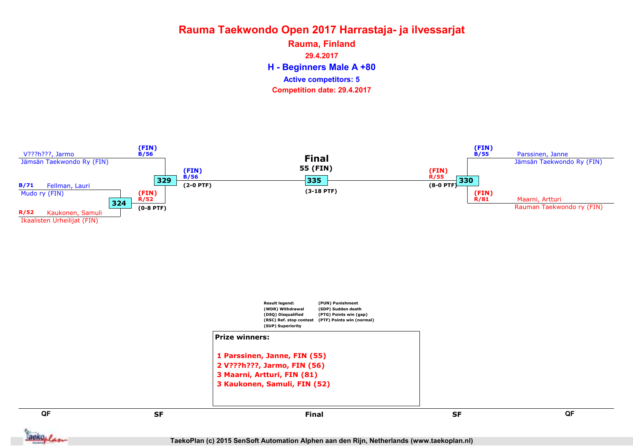H - Beginners Male A +80 Rauma, Finland 29.4.2017 Competition date: 29.4.2017 Active competitors: 5

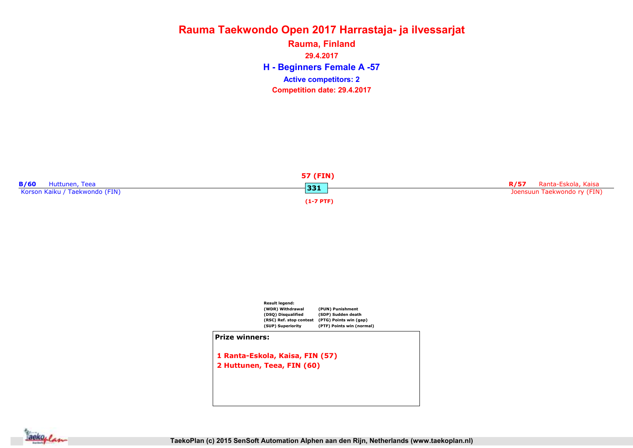H - Beginners Female A -57 Rauma, Finland 29.4.2017 Competition date: 29.4.2017 Active competitors: 2